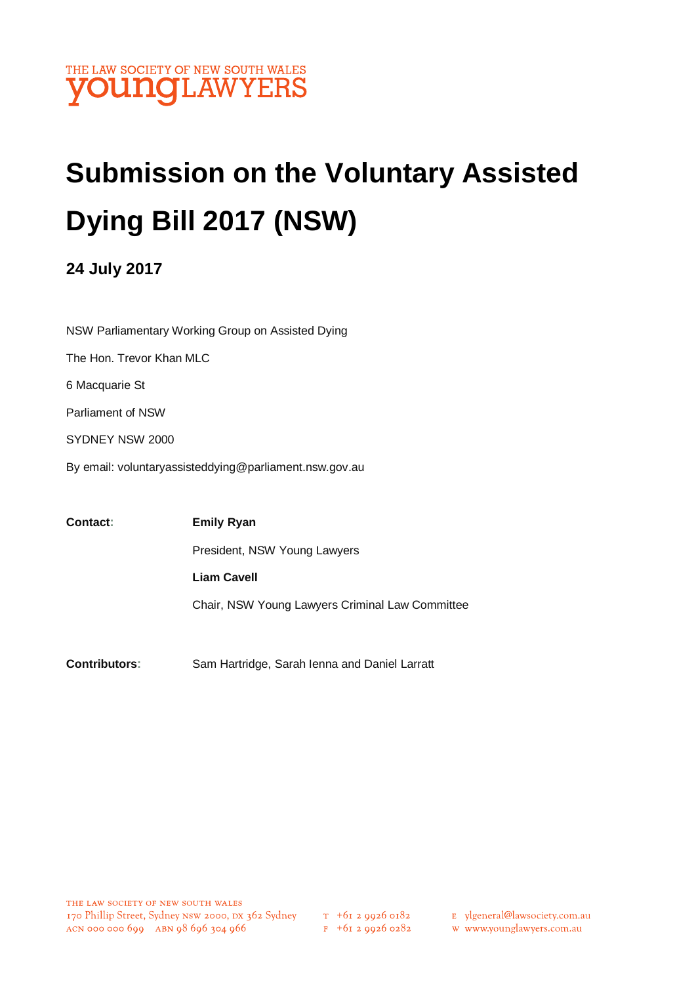

# **Submission on the Voluntary Assisted Dying Bill 2017 (NSW)**

## **24 July 2017**

NSW Parliamentary Working Group on Assisted Dying The Hon. Trevor Khan MLC 6 Macquarie St Parliament of NSW SYDNEY NSW 2000 By email: voluntaryassisteddying@parliament.nsw.gov.au

**Contact: Emily Ryan** President, NSW Young Lawyers **Liam Cavell** Chair, NSW Young Lawyers Criminal Law Committee

**Contributors:** Sam Hartridge, Sarah Ienna and Daniel Larratt

 $F + 6I$  2 9926 0282

E ylgeneral@lawsociety.com.au

w www.younglawyers.com.au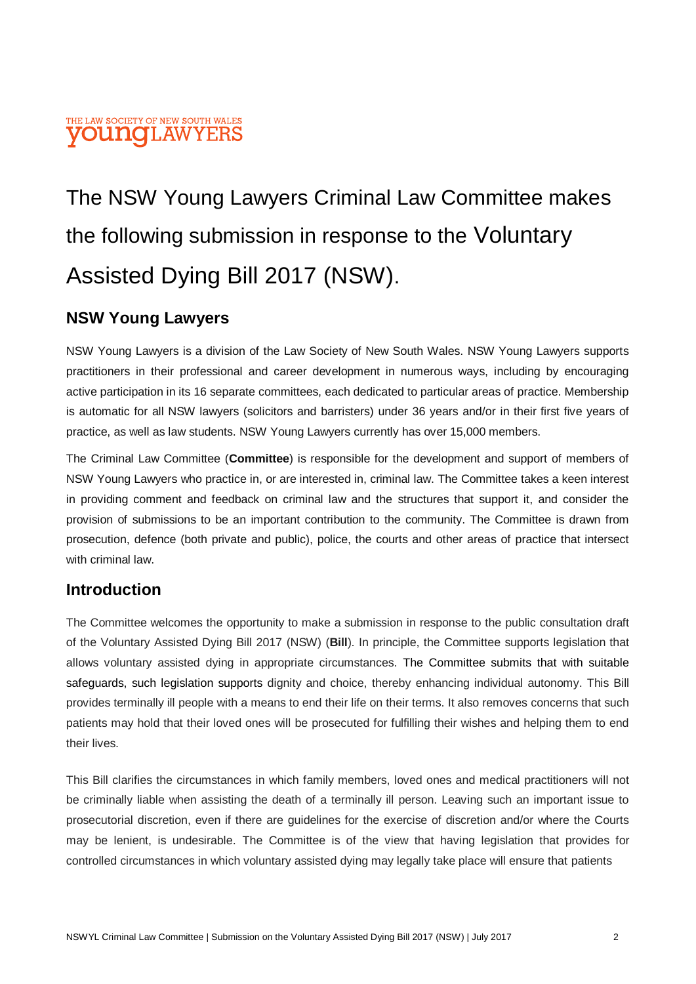#### THE LAW SOCIETY OF NEW SOUTH WALES **OUNOLAWYER**

## The NSW Young Lawyers Criminal Law Committee makes the following submission in response to the Voluntary Assisted Dying Bill 2017 (NSW).

## **NSW Young Lawyers**

NSW Young Lawyers is a division of the Law Society of New South Wales. NSW Young Lawyers supports practitioners in their professional and career development in numerous ways, including by encouraging active participation in its 16 separate committees, each dedicated to particular areas of practice. Membership is automatic for all NSW lawyers (solicitors and barristers) under 36 years and/or in their first five years of practice, as well as law students. NSW Young Lawyers currently has over 15,000 members.

The Criminal Law Committee (**Committee**) is responsible for the development and support of members of NSW Young Lawyers who practice in, or are interested in, criminal law. The Committee takes a keen interest in providing comment and feedback on criminal law and the structures that support it, and consider the provision of submissions to be an important contribution to the community. The Committee is drawn from prosecution, defence (both private and public), police, the courts and other areas of practice that intersect with criminal law.

## **Introduction**

The Committee welcomes the opportunity to make a submission in response to the public consultation draft of the Voluntary Assisted Dying Bill 2017 (NSW) (**Bill**). In principle, the Committee supports legislation that allows voluntary assisted dying in appropriate circumstances. The Committee submits that with suitable safeguards, such legislation supports dignity and choice, thereby enhancing individual autonomy. This Bill provides terminally ill people with a means to end their life on their terms. It also removes concerns that such patients may hold that their loved ones will be prosecuted for fulfilling their wishes and helping them to end their lives.

This Bill clarifies the circumstances in which family members, loved ones and medical practitioners will not be criminally liable when assisting the death of a terminally ill person. Leaving such an important issue to prosecutorial discretion, even if there are guidelines for the exercise of discretion and/or where the Courts may be lenient, is undesirable. The Committee is of the view that having legislation that provides for controlled circumstances in which voluntary assisted dying may legally take place will ensure that patients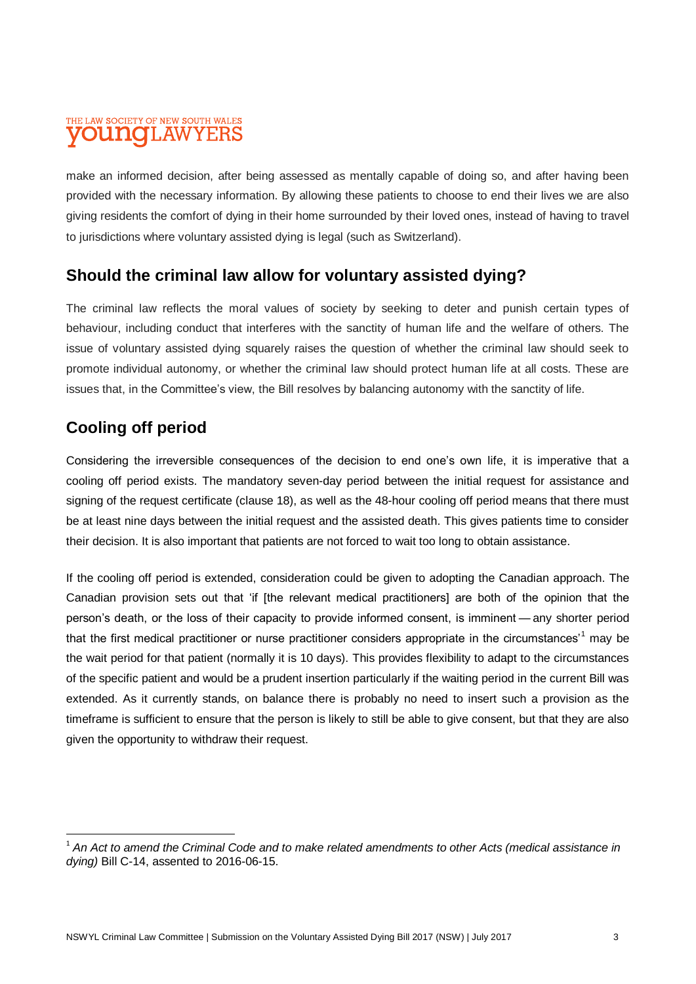#### THE LAW SOCIETY OF NEW SOUTH WALES **OUNOLAWYER**

make an informed decision, after being assessed as mentally capable of doing so, and after having been provided with the necessary information. By allowing these patients to choose to end their lives we are also giving residents the comfort of dying in their home surrounded by their loved ones, instead of having to travel to jurisdictions where voluntary assisted dying is legal (such as Switzerland).

## **Should the criminal law allow for voluntary assisted dying?**

The criminal law reflects the moral values of society by seeking to deter and punish certain types of behaviour, including conduct that interferes with the sanctity of human life and the welfare of others. The issue of voluntary assisted dying squarely raises the question of whether the criminal law should seek to promote individual autonomy, or whether the criminal law should protect human life at all costs. These are issues that, in the Committee's view, the Bill resolves by balancing autonomy with the sanctity of life.

## **Cooling off period**

 $\overline{\phantom{a}}$ 

Considering the irreversible consequences of the decision to end one's own life, it is imperative that a cooling off period exists. The mandatory seven-day period between the initial request for assistance and signing of the request certificate (clause 18), as well as the 48-hour cooling off period means that there must be at least nine days between the initial request and the assisted death. This gives patients time to consider their decision. It is also important that patients are not forced to wait too long to obtain assistance.

If the cooling off period is extended, consideration could be given to adopting the Canadian approach. The Canadian provision sets out that 'if [the relevant medical practitioners] are both of the opinion that the person's death, or the loss of their capacity to provide informed consent, is imminent — any shorter period that the first medical practitioner or nurse practitioner considers appropriate in the circumstances<sup>1</sup> may be the wait period for that patient (normally it is 10 days). This provides flexibility to adapt to the circumstances of the specific patient and would be a prudent insertion particularly if the waiting period in the current Bill was extended. As it currently stands, on balance there is probably no need to insert such a provision as the timeframe is sufficient to ensure that the person is likely to still be able to give consent, but that they are also given the opportunity to withdraw their request.

<sup>&</sup>lt;sup>1</sup> An Act to amend the Criminal Code and to make related amendments to other Acts (medical assistance in *dying)* Bill C-14, assented to 2016-06-15.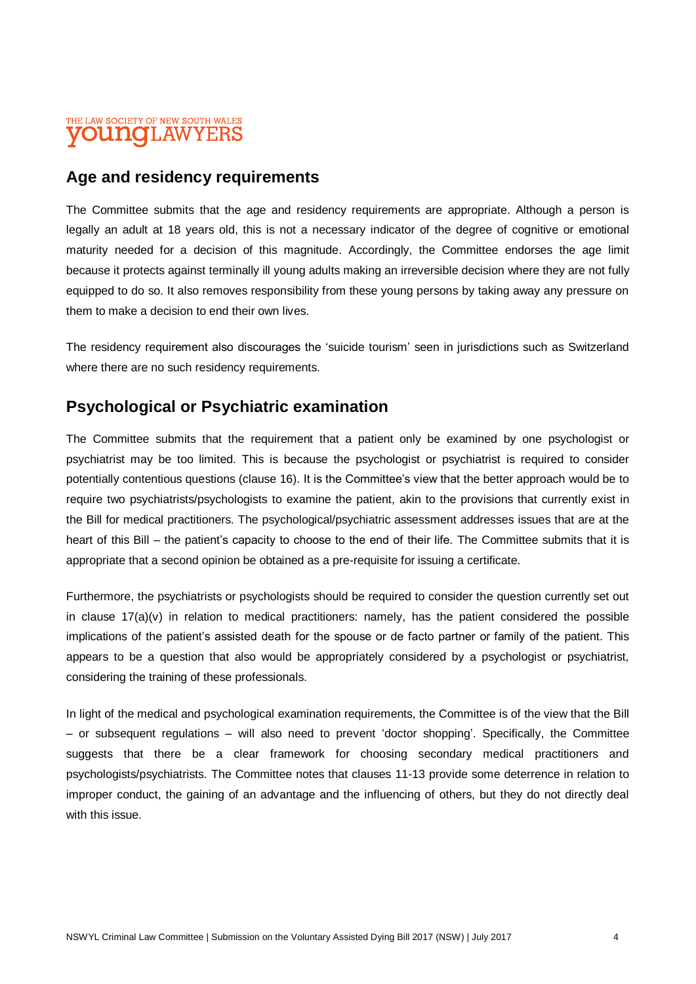#### THE LAW SOCIETY OF NEW SOUTH WALES **OUNOLAW**

## **Age and residency requirements**

The Committee submits that the age and residency requirements are appropriate. Although a person is legally an adult at 18 years old, this is not a necessary indicator of the degree of cognitive or emotional maturity needed for a decision of this magnitude. Accordingly, the Committee endorses the age limit because it protects against terminally ill young adults making an irreversible decision where they are not fully equipped to do so. It also removes responsibility from these young persons by taking away any pressure on them to make a decision to end their own lives.

The residency requirement also discourages the 'suicide tourism' seen in jurisdictions such as Switzerland where there are no such residency requirements.

## **Psychological or Psychiatric examination**

The Committee submits that the requirement that a patient only be examined by one psychologist or psychiatrist may be too limited. This is because the psychologist or psychiatrist is required to consider potentially contentious questions (clause 16). It is the Committee's view that the better approach would be to require two psychiatrists/psychologists to examine the patient, akin to the provisions that currently exist in the Bill for medical practitioners. The psychological/psychiatric assessment addresses issues that are at the heart of this Bill – the patient's capacity to choose to the end of their life. The Committee submits that it is appropriate that a second opinion be obtained as a pre-requisite for issuing a certificate.

Furthermore, the psychiatrists or psychologists should be required to consider the question currently set out in clause  $17(a)(v)$  in relation to medical practitioners: namely, has the patient considered the possible implications of the patient's assisted death for the spouse or de facto partner or family of the patient. This appears to be a question that also would be appropriately considered by a psychologist or psychiatrist, considering the training of these professionals.

In light of the medical and psychological examination requirements, the Committee is of the view that the Bill – or subsequent regulations – will also need to prevent 'doctor shopping'. Specifically, the Committee suggests that there be a clear framework for choosing secondary medical practitioners and psychologists/psychiatrists. The Committee notes that clauses 11-13 provide some deterrence in relation to improper conduct, the gaining of an advantage and the influencing of others, but they do not directly deal with this issue.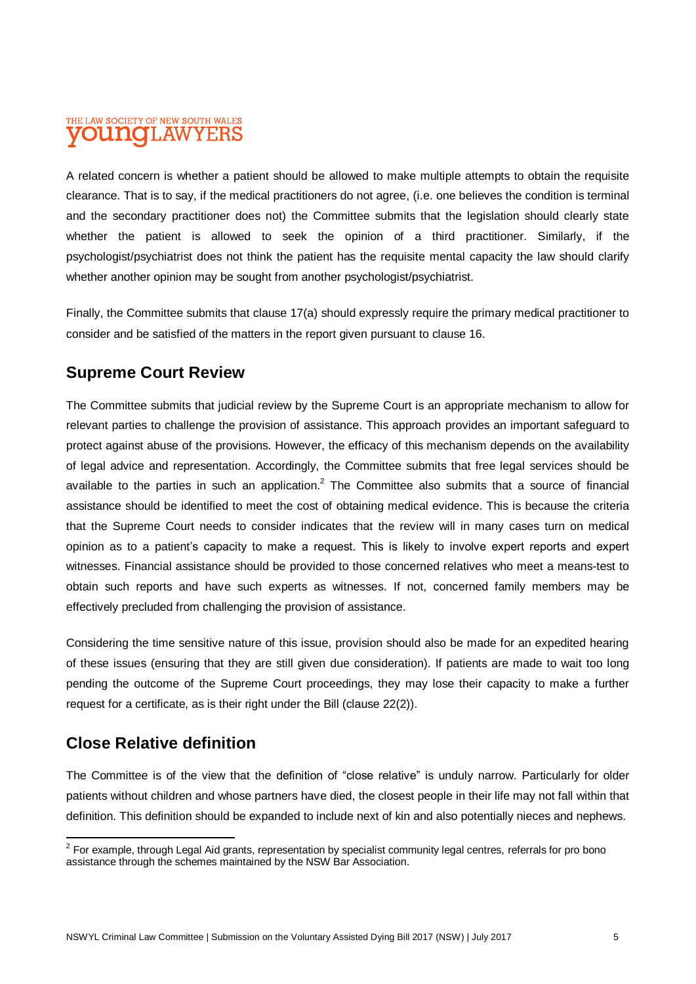#### THE LAW SOCIETY OF NEW SOUTH WALES **OUNOLAWYERS**

A related concern is whether a patient should be allowed to make multiple attempts to obtain the requisite clearance. That is to say, if the medical practitioners do not agree, (i.e. one believes the condition is terminal and the secondary practitioner does not) the Committee submits that the legislation should clearly state whether the patient is allowed to seek the opinion of a third practitioner. Similarly, if the psychologist/psychiatrist does not think the patient has the requisite mental capacity the law should clarify whether another opinion may be sought from another psychologist/psychiatrist.

Finally, the Committee submits that clause 17(a) should expressly require the primary medical practitioner to consider and be satisfied of the matters in the report given pursuant to clause 16.

## **Supreme Court Review**

The Committee submits that judicial review by the Supreme Court is an appropriate mechanism to allow for relevant parties to challenge the provision of assistance. This approach provides an important safeguard to protect against abuse of the provisions. However, the efficacy of this mechanism depends on the availability of legal advice and representation. Accordingly, the Committee submits that free legal services should be available to the parties in such an application.<sup>2</sup> The Committee also submits that a source of financial assistance should be identified to meet the cost of obtaining medical evidence. This is because the criteria that the Supreme Court needs to consider indicates that the review will in many cases turn on medical opinion as to a patient's capacity to make a request. This is likely to involve expert reports and expert witnesses. Financial assistance should be provided to those concerned relatives who meet a means-test to obtain such reports and have such experts as witnesses. If not, concerned family members may be effectively precluded from challenging the provision of assistance.

Considering the time sensitive nature of this issue, provision should also be made for an expedited hearing of these issues (ensuring that they are still given due consideration). If patients are made to wait too long pending the outcome of the Supreme Court proceedings, they may lose their capacity to make a further request for a certificate, as is their right under the Bill (clause 22(2)).

## **Close Relative definition**

The Committee is of the view that the definition of "close relative" is unduly narrow. Particularly for older patients without children and whose partners have died, the closest people in their life may not fall within that definition. This definition should be expanded to include next of kin and also potentially nieces and nephews.

 2 For example, through Legal Aid grants, representation by specialist community legal centres, referrals for pro bono assistance through the schemes maintained by the NSW Bar Association.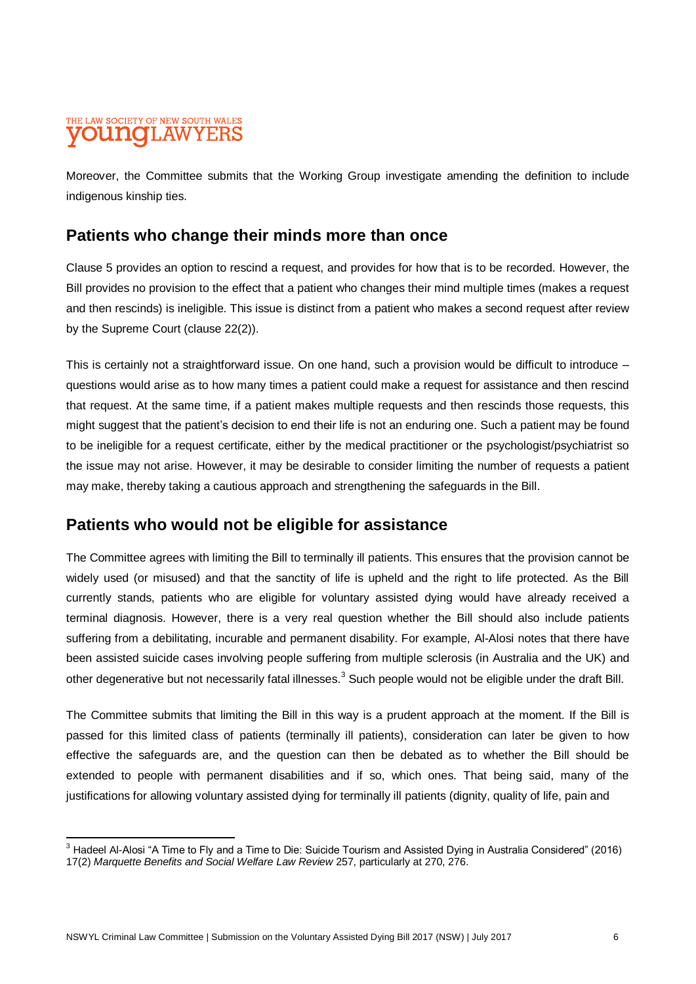#### THE LAW SOCIETY OF NEW SOUTH WALES **OUNCLAW**

Moreover, the Committee submits that the Working Group investigate amending the definition to include indigenous kinship ties.

## **Patients who change their minds more than once**

Clause 5 provides an option to rescind a request, and provides for how that is to be recorded. However, the Bill provides no provision to the effect that a patient who changes their mind multiple times (makes a request and then rescinds) is ineligible. This issue is distinct from a patient who makes a second request after review by the Supreme Court (clause 22(2)).

This is certainly not a straightforward issue. On one hand, such a provision would be difficult to introduce – questions would arise as to how many times a patient could make a request for assistance and then rescind that request. At the same time, if a patient makes multiple requests and then rescinds those requests, this might suggest that the patient's decision to end their life is not an enduring one. Such a patient may be found to be ineligible for a request certificate, either by the medical practitioner or the psychologist/psychiatrist so the issue may not arise. However, it may be desirable to consider limiting the number of requests a patient may make, thereby taking a cautious approach and strengthening the safeguards in the Bill.

## **Patients who would not be eligible for assistance**

The Committee agrees with limiting the Bill to terminally ill patients. This ensures that the provision cannot be widely used (or misused) and that the sanctity of life is upheld and the right to life protected. As the Bill currently stands, patients who are eligible for voluntary assisted dying would have already received a terminal diagnosis. However, there is a very real question whether the Bill should also include patients suffering from a debilitating, incurable and permanent disability. For example, Al-Alosi notes that there have been assisted suicide cases involving people suffering from multiple sclerosis (in Australia and the UK) and other degenerative but not necessarily fatal illnesses.<sup>3</sup> Such people would not be eligible under the draft Bill.

The Committee submits that limiting the Bill in this way is a prudent approach at the moment. If the Bill is passed for this limited class of patients (terminally ill patients), consideration can later be given to how effective the safeguards are, and the question can then be debated as to whether the Bill should be extended to people with permanent disabilities and if so, which ones. That being said, many of the justifications for allowing voluntary assisted dying for terminally ill patients (dignity, quality of life, pain and

 $\overline{a}$  $^3$  Hadeel Al-Alosi "A Time to Fly and a Time to Die: Suicide Tourism and Assisted Dying in Australia Considered" (2016) 17(2) *Marquette Benefits and Social Welfare Law Review* 257, particularly at 270, 276.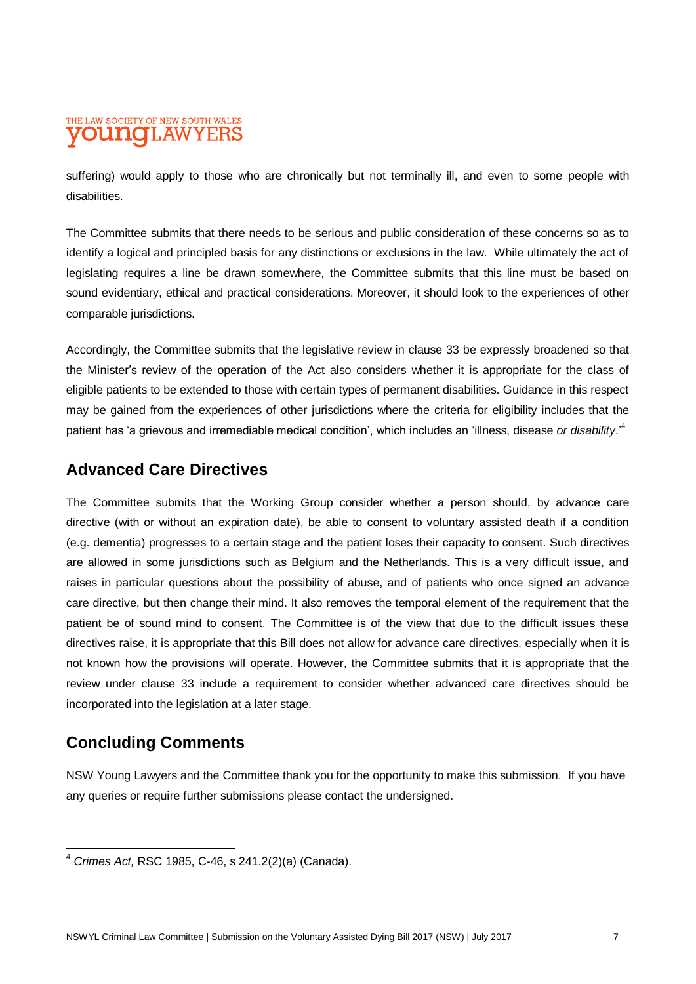#### THE LAW SOCIETY OF NEW SOUTH WALES **OUNOI.AWYEF**

suffering) would apply to those who are chronically but not terminally ill, and even to some people with disabilities.

The Committee submits that there needs to be serious and public consideration of these concerns so as to identify a logical and principled basis for any distinctions or exclusions in the law. While ultimately the act of legislating requires a line be drawn somewhere, the Committee submits that this line must be based on sound evidentiary, ethical and practical considerations. Moreover, it should look to the experiences of other comparable jurisdictions.

Accordingly, the Committee submits that the legislative review in clause 33 be expressly broadened so that the Minister's review of the operation of the Act also considers whether it is appropriate for the class of eligible patients to be extended to those with certain types of permanent disabilities. Guidance in this respect may be gained from the experiences of other jurisdictions where the criteria for eligibility includes that the patient has 'a grievous and irremediable medical condition', which includes an 'illness, disease *or disability*.' 4

## **Advanced Care Directives**

The Committee submits that the Working Group consider whether a person should, by advance care directive (with or without an expiration date), be able to consent to voluntary assisted death if a condition (e.g. dementia) progresses to a certain stage and the patient loses their capacity to consent. Such directives are allowed in some jurisdictions such as Belgium and the Netherlands. This is a very difficult issue, and raises in particular questions about the possibility of abuse, and of patients who once signed an advance care directive, but then change their mind. It also removes the temporal element of the requirement that the patient be of sound mind to consent. The Committee is of the view that due to the difficult issues these directives raise, it is appropriate that this Bill does not allow for advance care directives, especially when it is not known how the provisions will operate. However, the Committee submits that it is appropriate that the review under clause 33 include a requirement to consider whether advanced care directives should be incorporated into the legislation at a later stage.

## **Concluding Comments**

NSW Young Lawyers and the Committee thank you for the opportunity to make this submission. If you have any queries or require further submissions please contact the undersigned.

 $\overline{a}$ <sup>4</sup> *Crimes Act,* RSC 1985, C-46, s 241.2(2)(a) (Canada).